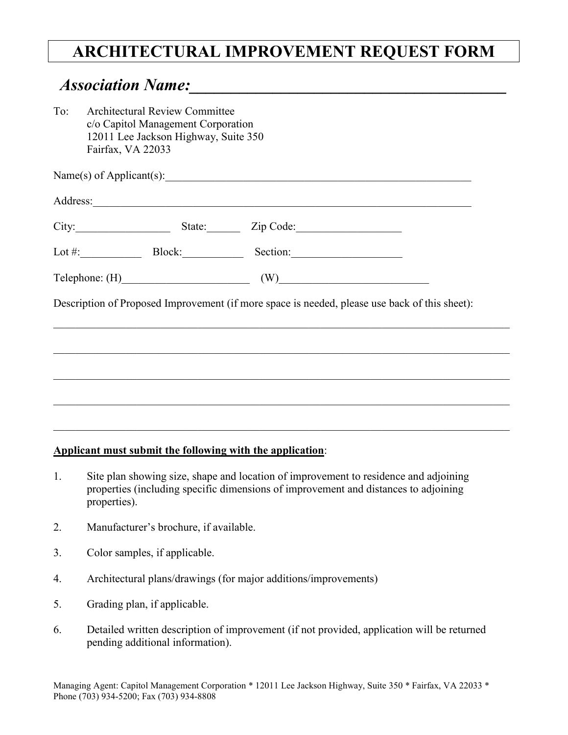## **ARCHITECTURAL IMPROVEMENT REQUEST FORM**

## *Association Name:\_\_\_\_\_\_\_\_\_\_\_\_\_\_\_\_\_\_\_\_\_\_\_\_\_\_\_\_\_\_\_\_\_\_\_\_\_\_*

| To: | Fairfax, VA 22033 | <b>Architectural Review Committee</b><br>c/o Capitol Management Corporation<br>12011 Lee Jackson Highway, Suite 350 |                                                                                               |  |
|-----|-------------------|---------------------------------------------------------------------------------------------------------------------|-----------------------------------------------------------------------------------------------|--|
|     |                   |                                                                                                                     | Name(s) of Applicant(s): $\qquad \qquad$                                                      |  |
|     |                   |                                                                                                                     |                                                                                               |  |
|     |                   |                                                                                                                     | City: State: Zip Code:                                                                        |  |
|     |                   |                                                                                                                     | Lot #: Block: Block: Section:                                                                 |  |
|     |                   |                                                                                                                     | $\text{Telephone: (H)}$ (W) (W)                                                               |  |
|     |                   |                                                                                                                     | Description of Proposed Improvement (if more space is needed, please use back of this sheet): |  |
|     |                   |                                                                                                                     |                                                                                               |  |
|     |                   |                                                                                                                     |                                                                                               |  |
|     |                   |                                                                                                                     |                                                                                               |  |
|     |                   |                                                                                                                     |                                                                                               |  |

## **Applicant must submit the following with the application**:

- 1. Site plan showing size, shape and location of improvement to residence and adjoining properties (including specific dimensions of improvement and distances to adjoining properties).
- 2. Manufacturer's brochure, if available.
- 3. Color samples, if applicable.
- 4. Architectural plans/drawings (for major additions/improvements)
- 5. Grading plan, if applicable.
- 6. Detailed written description of improvement (if not provided, application will be returned pending additional information).